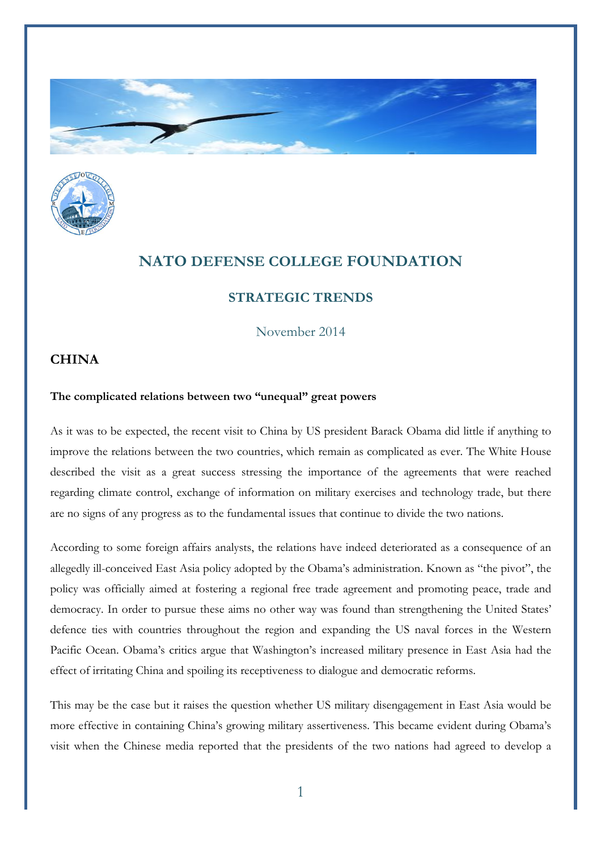



## **NATO DEFENSE COLLEGE FOUNDATION**

## **STRATEGIC TRENDS**

November 2014

## **CHINA**

## **The complicated relations between two "unequal" great powers**

As it was to be expected, the recent visit to China by US president Barack Obama did little if anything to improve the relations between the two countries, which remain as complicated as ever. The White House described the visit as a great success stressing the importance of the agreements that were reached regarding climate control, exchange of information on military exercises and technology trade, but there are no signs of any progress as to the fundamental issues that continue to divide the two nations.

According to some foreign affairs analysts, the relations have indeed deteriorated as a consequence of an allegedly ill-conceived East Asia policy adopted by the Obama's administration. Known as "the pivot", the policy was officially aimed at fostering a regional free trade agreement and promoting peace, trade and democracy. In order to pursue these aims no other way was found than strengthening the United States' defence ties with countries throughout the region and expanding the US naval forces in the Western Pacific Ocean. Obama's critics argue that Washington's increased military presence in East Asia had the effect of irritating China and spoiling its receptiveness to dialogue and democratic reforms.

This may be the case but it raises the question whether US military disengagement in East Asia would be more effective in containing China's growing military assertiveness. This became evident during Obama's visit when the Chinese media reported that the presidents of the two nations had agreed to develop a